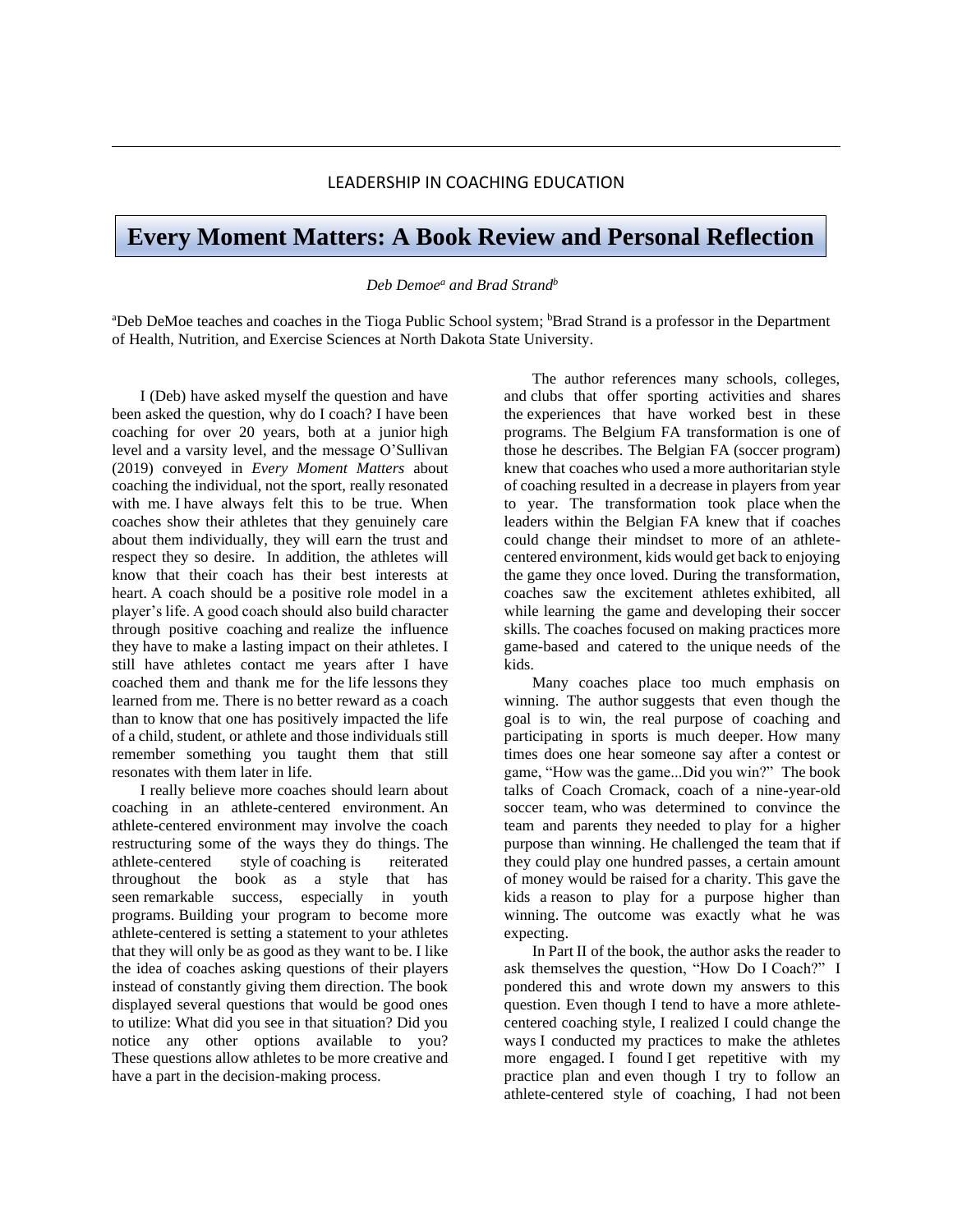## LEADERSHIP IN COACHING EDUCATION

## **Every Moment Matters: A Book Review and Personal Reflection**

## *Deb Demoe<sup>a</sup> and Brad Strand<sup>b</sup>*

<sup>a</sup>Deb DeMoe teaches and coaches in the Tioga Public School system; <sup>b</sup>Brad Strand is a professor in the Department of Health, Nutrition, and Exercise Sciences at North Dakota State University.

I (Deb) have asked myself the question and have been asked the question, why do I coach? I have been coaching for over 20 years, both at a junior high level and a varsity level, and the message O'Sullivan (2019) conveyed in *Every Moment Matters* about coaching the individual, not the sport, really resonated with me. I have always felt this to be true. When coaches show their athletes that they genuinely care about them individually, they will earn the trust and respect they so desire. In addition, the athletes will know that their coach has their best interests at heart. A coach should be a positive role model in a player's life. A good coach should also build character through positive coaching and realize the influence they have to make a lasting impact on their athletes. I still have athletes contact me years after I have coached them and thank me for the life lessons they learned from me. There is no better reward as a coach than to know that one has positively impacted the life of a child, student, or athlete and those individuals still remember something you taught them that still resonates with them later in life.

I really believe more coaches should learn about coaching in an athlete-centered environment. An athlete-centered environment may involve the coach restructuring some of the ways they do things. The athlete-centered style of coaching is reiterated throughout the book as a style that has seen remarkable success, especially in youth programs. Building your program to become more athlete-centered is setting a statement to your athletes that they will only be as good as they want to be. I like the idea of coaches asking questions of their players instead of constantly giving them direction. The book displayed several questions that would be good ones to utilize: What did you see in that situation? Did you notice any other options available to you? These questions allow athletes to be more creative and have a part in the decision-making process.

The author references many schools, colleges, and clubs that offer sporting activities and shares the experiences that have worked best in these programs. The Belgium FA transformation is one of those he describes. The Belgian FA (soccer program) knew that coaches who used a more authoritarian style of coaching resulted in a decrease in players from year to year. The transformation took place when the leaders within the Belgian FA knew that if coaches could change their mindset to more of an athletecentered environment, kids would get back to enjoying the game they once loved. During the transformation, coaches saw the excitement athletes exhibited, all while learning the game and developing their soccer skills. The coaches focused on making practices more game-based and catered to the unique needs of the kids.

Many coaches place too much emphasis on winning. The author suggests that even though the goal is to win, the real purpose of coaching and participating in sports is much deeper. How many times does one hear someone say after a contest or game, "How was the game...Did you win?" The book talks of Coach Cromack, coach of a nine-year-old soccer team, who was determined to convince the team and parents they needed to play for a higher purpose than winning. He challenged the team that if they could play one hundred passes, a certain amount of money would be raised for a charity. This gave the kids a reason to play for a purpose higher than winning. The outcome was exactly what he was expecting.

In Part II of the book, the author asks the reader to ask themselves the question, "How Do I Coach?" I pondered this and wrote down my answers to this question. Even though I tend to have a more athletecentered coaching style, I realized I could change the ways I conducted my practices to make the athletes more engaged. I found I get repetitive with my practice plan and even though I try to follow an athlete-centered style of coaching, I had not been